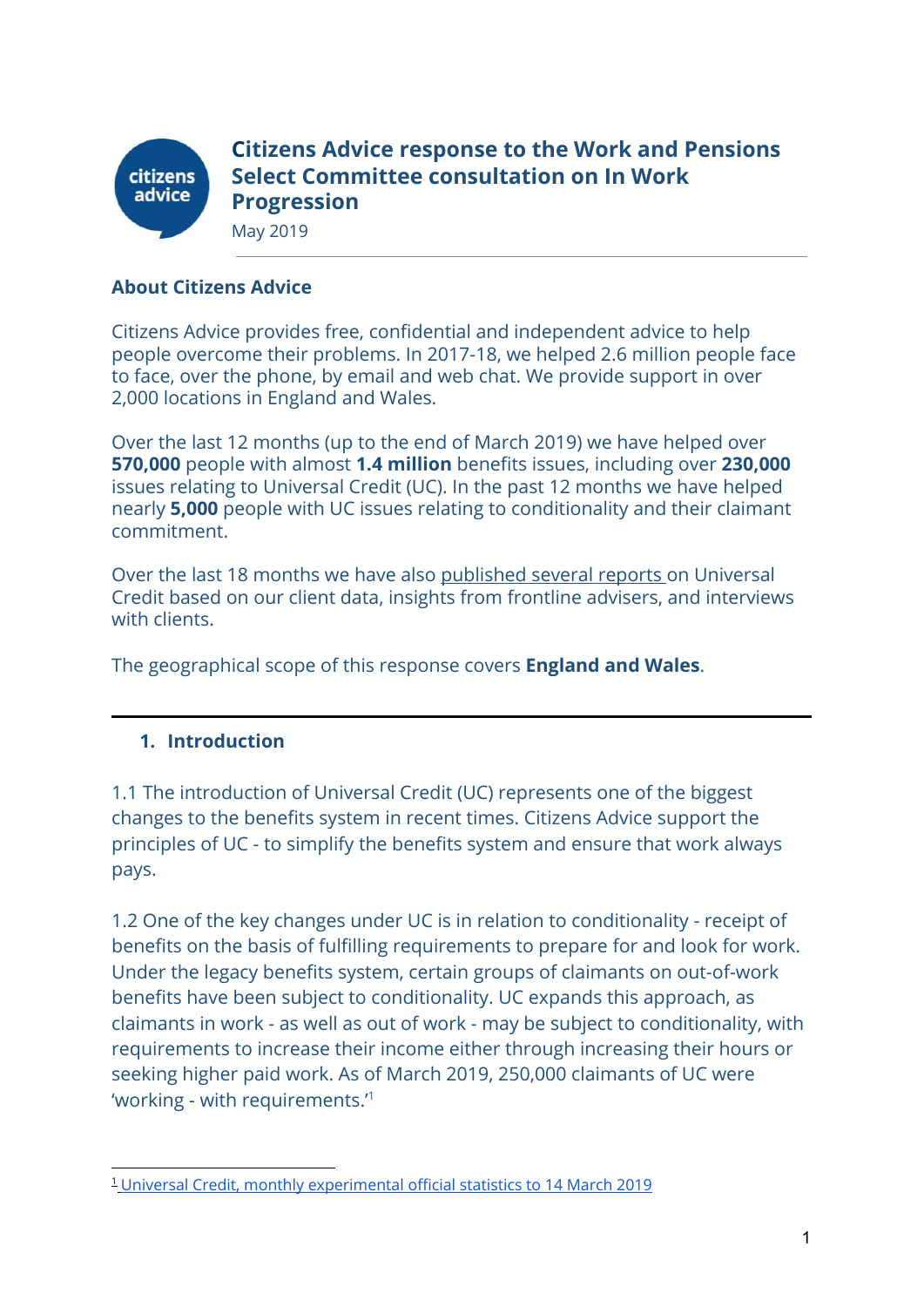

**Citizens Advice response to the Work and Pensions Select Committee consultation on In Work Progression** May 2019

### **About Citizens Advice**

Citizens Advice provides free, confidential and independent advice to help people overcome their problems. In 2017-18, we helped 2.6 million people face to face, over the phone, by email and web chat. We provide support in over 2,000 locations in England and Wales.

Over the last 12 months (up to the end of March 2019) we have helped over **570,000** people with almost **1.4 million** benefits issues, including over **230,000** issues relating to Universal Credit (UC). In the past 12 months we have helped nearly **5,000** people with UC issues relating to conditionality and their claimant commitment.

Over the last 18 months we have also [published several reports](https://www.citizensadvice.org.uk/about-us/policy/welfare-policy-research/) on Universal Credit based on our client data, insights from frontline advisers, and interviews with clients.

The geographical scope of this response covers **England and Wales**.

#### **1. Introduction**

1.1 The introduction of Universal Credit (UC) represents one of the biggest changes to the benefits system in recent times. Citizens Advice support the principles of UC - to simplify the benefits system and ensure that work always pays.

1.2 One of the key changes under UC is in relation to conditionality - receipt of benefits on the basis of fulfilling requirements to prepare for and look for work. Under the legacy benefits system, certain groups of claimants on out-of-work benefits have been subject to conditionality. UC expands this approach, as claimants in work - as well as out of work - may be subject to conditionality, with requirements to increase their income either through increasing their hours or seeking higher paid work. As of March 2019, 250,000 claimants of UC were 'working - with requirements.'<sup>1</sup>

<sup>1</sup> Universal Credit, monthly [experimental](https://www.gov.uk/government/statistics/universal-credit-29-april-2013-to-14-march-2019) official statistics to 14 March 2019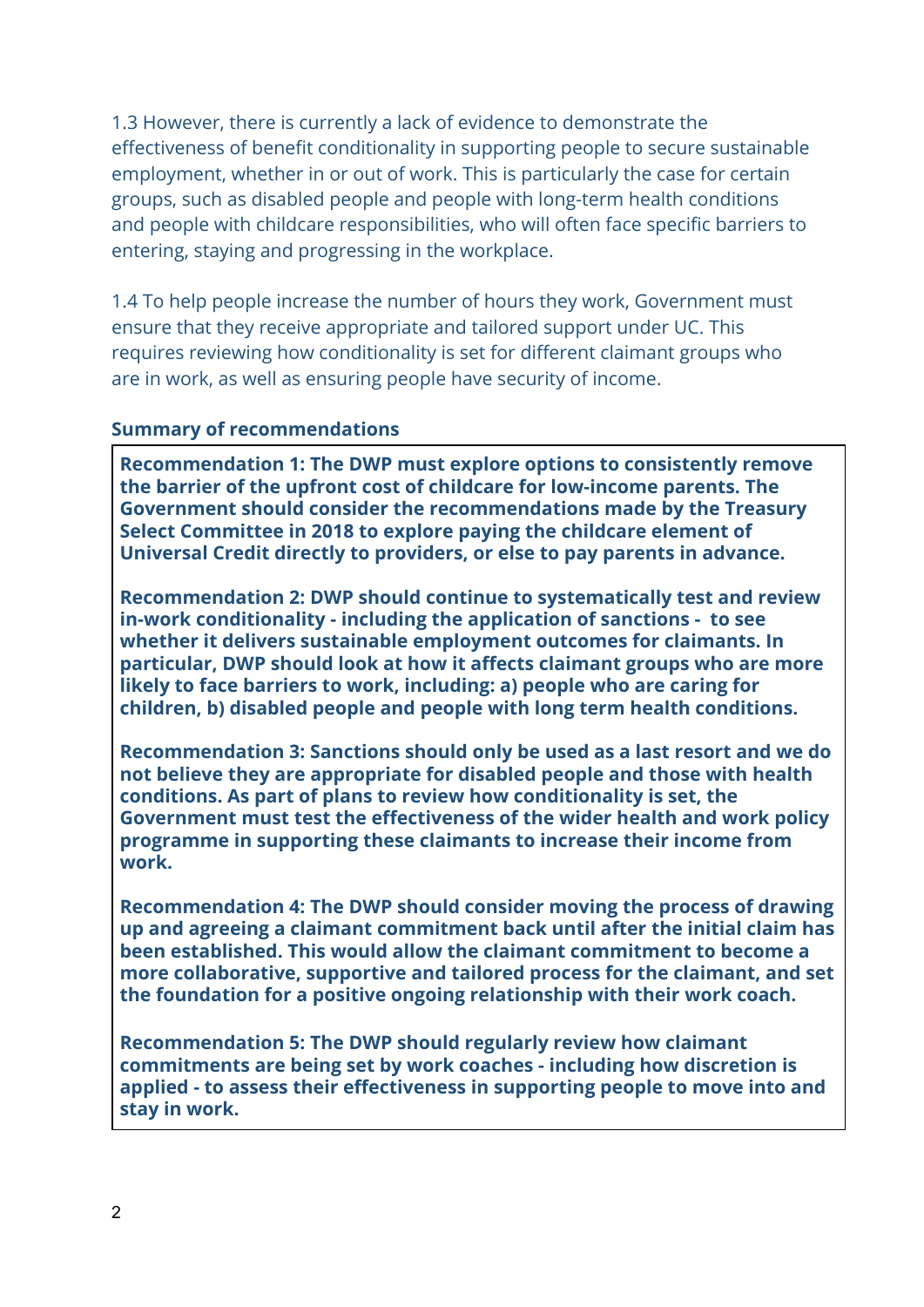1.3 However, there is currently a lack of evidence to demonstrate the effectiveness of benefit conditionality in supporting people to secure sustainable employment, whether in or out of work. This is particularly the case for certain groups, such as disabled people and people with long-term health conditions and people with childcare responsibilities, who will often face specific barriers to entering, staying and progressing in the workplace.

1.4 To help people increase the number of hours they work, Government must ensure that they receive appropriate and tailored support under UC. This requires reviewing how conditionality is set for different claimant groups who are in work, as well as ensuring people have security of income.

#### **Summary of recommendations**

**Recommendation 1: The DWP must explore options to consistently remove the barrier of the upfront cost of childcare for low-income parents. The Government should consider the recommendations made by the Treasury Select Committee in 2018 to explore paying the childcare element of Universal Credit directly to providers, or else to pay parents in advance.**

**Recommendation 2: DWP should continue to systematically test and review in-work conditionality - including the application of sanctions - to see whether it delivers sustainable employment outcomes for claimants. In particular, DWP should look at how it affects claimant groups who are more likely to face barriers to work, including: a) people who are caring for children, b) disabled people and people with long term health conditions.**

**Recommendation 3: Sanctions should only be used as a last resort and we do not believe they are appropriate for disabled people and those with health conditions. As part of plans to review how conditionality is set, the Government must test the effectiveness of the wider health and work policy programme in supporting these claimants to increase their income from work.**

**Recommendation 4: The DWP should consider moving the process of drawing up and agreeing a claimant commitment back until after the initial claim has been established. This would allow the claimant commitment to become a more collaborative, supportive and tailored process for the claimant, and set the foundation for a positive ongoing relationship with their work coach.**

**Recommendation 5: The DWP should regularly review how claimant commitments are being set by work coaches - including how discretion is applied - to assess their effectiveness in supporting people to move into and stay in work.**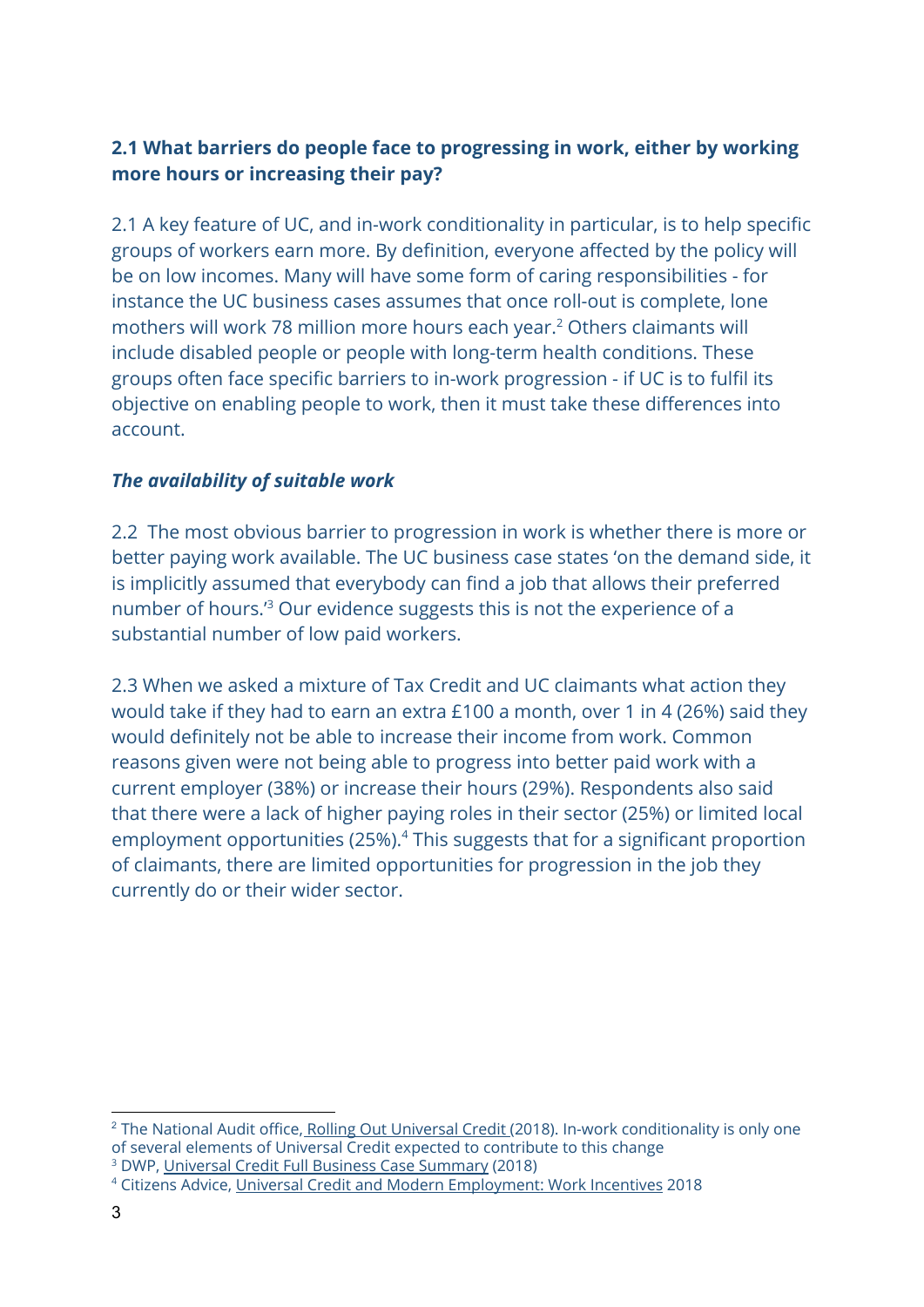# **2.1 What barriers do people face to progressing in work, either by working more hours or increasing their pay?**

2.1 A key feature of UC, and in-work conditionality in particular, is to help specific groups of workers earn more. By definition, everyone affected by the policy will be on low incomes. Many will have some form of caring responsibilities - for instance the UC business cases assumes that once roll-out is complete, lone mothers will work 78 million more hours each year.<sup>2</sup> Others claimants will include disabled people or people with long-term health conditions. These groups often face specific barriers to in-work progression - if UC is to fulfil its objective on enabling people to work, then it must take these differences into account.

# *The availability of suitable work*

2.2 The most obvious barrier to progression in work is whether there is more or better paying work available. The UC business case states 'on the demand side, it is implicitly assumed that everybody can find a job that allows their preferred number of hours.<sup>13</sup> Our evidence suggests this is not the experience of a substantial number of low paid workers.

2.3 When we asked a mixture of Tax Credit and UC claimants what action they would take if they had to earn an extra £100 a month, over 1 in 4 (26%) said they would definitely not be able to increase their income from work. Common reasons given were not being able to progress into better paid work with a current employer (38%) or increase their hours (29%). Respondents also said that there were a lack of higher paying roles in their sector (25%) or limited local employment opportunities (25%).<sup>4</sup> This suggests that for a significant proportion of claimants, there are limited opportunities for progression in the job they currently do or their wider sector.

<sup>&</sup>lt;sup>2</sup> The National Audit office, Rolling Out [Universal](https://www.gov.uk/government/statistics/universal-credit-29-april-2013-to-14-march-2019) Credit (2018). In-work conditionality is only one of several elements of Universal Credit expected to contribute to this change <sup>3</sup> DWP, Universal Credit Full Business Case [Summary](https://assets.publishing.service.gov.uk/government/uploads/system/uploads/attachment_data/file/725477/uc-business-case-summary.pdf) (2018)

<sup>4</sup> Citizens Advice, Universal Credit and Modern [Employment:](https://www.citizensadvice.org.uk/Global/CitizensAdvice/welfare%20publications/Universal%20Credit%20and%20Work%20Incentives.pdf) Work Incentives 2018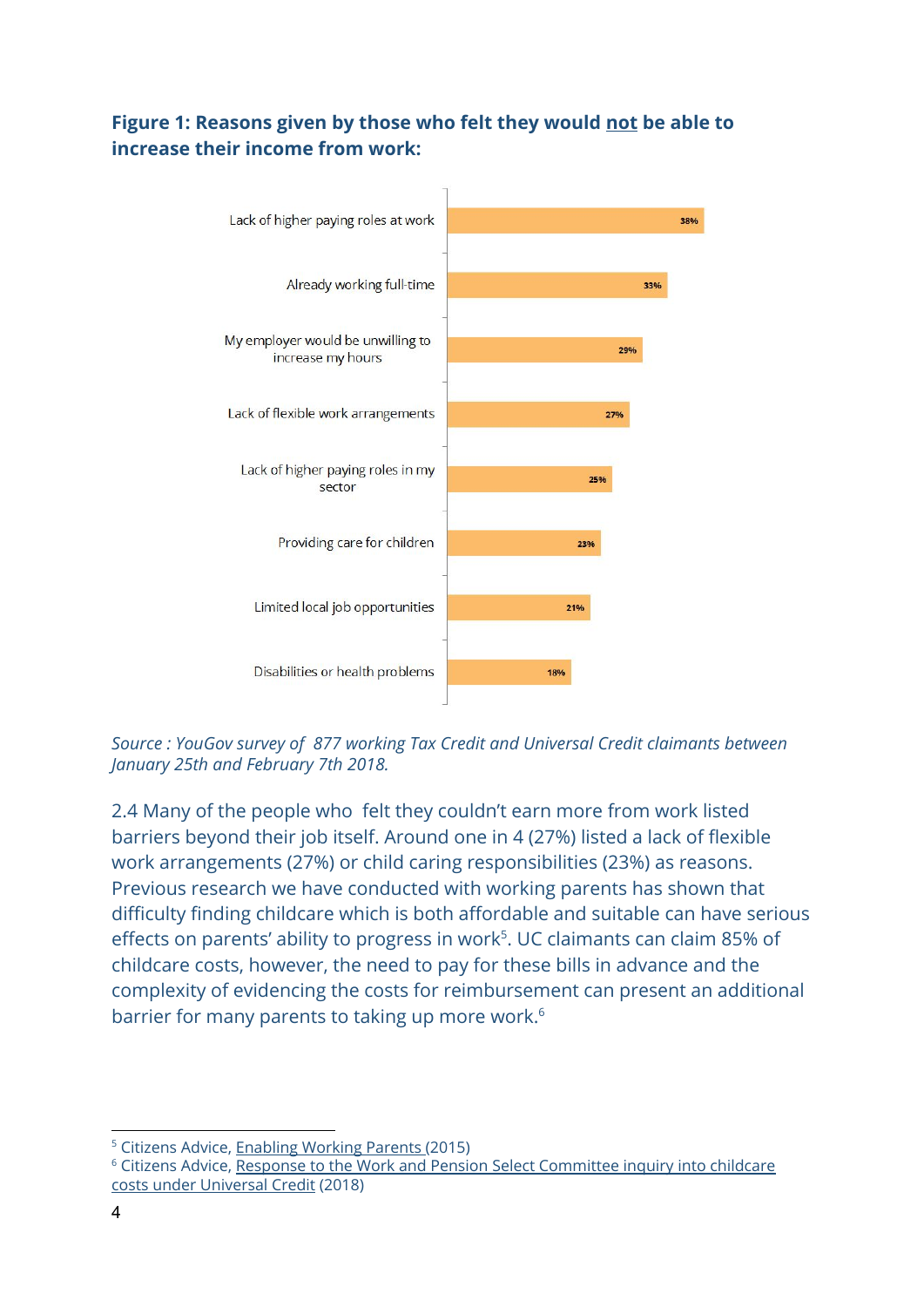# **Figure 1: Reasons given by those who felt they would not be able to increase their income from work:**



*Source : YouGov survey of 877 working Tax Credit and Universal Credit claimants between January 25th and February 7th 2018.*

2.4 Many of the people who felt they couldn't earn more from work listed barriers beyond their job itself. Around one in 4 (27%) listed a lack of flexible work arrangements (27%) or child caring responsibilities (23%) as reasons. Previous research we have conducted with working parents has shown that difficulty finding childcare which is both affordable and suitable can have serious effects on parents' ability to progress in work<sup>5</sup>. UC claimants can claim 85% of childcare costs, however, the need to pay for these bills in advance and the complexity of evidencing the costs for reimbursement can present an additional barrier for many parents to taking up more work.<sup>6</sup>

<sup>5</sup> Citizens Advice, [Enabling](https://www.citizensadvice.org.uk/cymraeg/about-us/policy/policy-research-topics/families-policy-research/enabling-working-parents/) Working Parents (2015)

<sup>6</sup> Citizens Advice, Response to the Work and Pension Select [Committee](https://www.citizensadvice.org.uk/about-us/policy/policy-research-topics/welfare-policy-research-surveys-and-consultation-responses/welfare-surveys-and-consultation-responses/citizens-advice-response-to-the-work-and-pensions-select-committee-inquiry-into-childcare-costs-under-universal-credit/) inquiry into childcare costs under [Universal](https://www.citizensadvice.org.uk/about-us/policy/policy-research-topics/welfare-policy-research-surveys-and-consultation-responses/welfare-surveys-and-consultation-responses/citizens-advice-response-to-the-work-and-pensions-select-committee-inquiry-into-childcare-costs-under-universal-credit/) Credit (2018)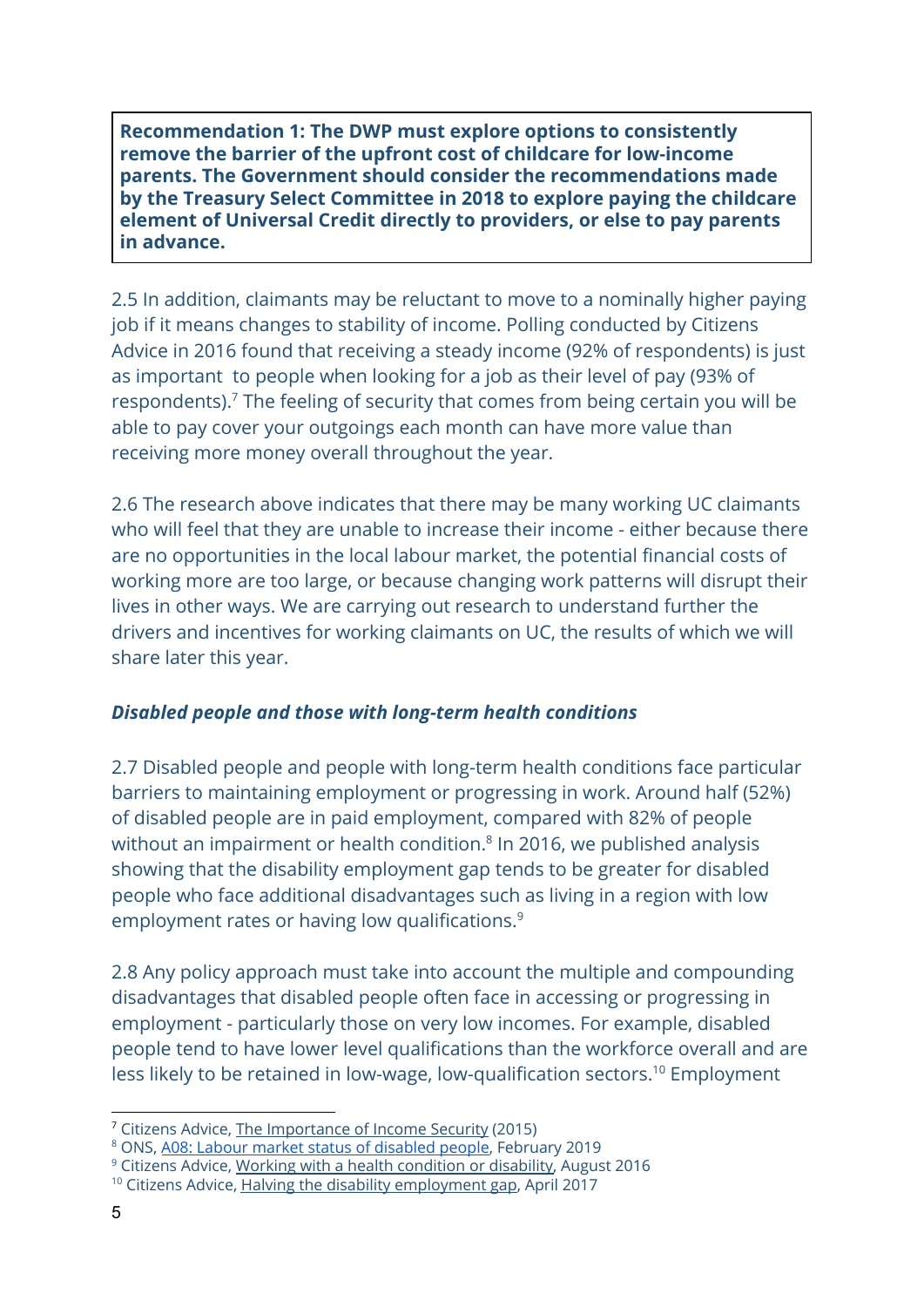**Recommendation 1: The DWP must explore options to consistently remove the barrier of the upfront cost of childcare for low-income parents. The Government should consider the recommendations made by the Treasury Select Committee in 2018 to explore paying the childcare element of Universal Credit directly to providers, or else to pay parents in advance.**

2.5 In addition, claimants may be reluctant to move to a nominally higher paying job if it means changes to stability of income. Polling conducted by Citizens Advice in 2016 found that receiving a steady income (92% of respondents) is just as important to people when looking for a job as their level of pay (93% of respondents). $<sup>7</sup>$  The feeling of security that comes from being certain you will be</sup> able to pay cover your outgoings each month can have more value than receiving more money overall throughout the year.

2.6 The research above indicates that there may be many working UC claimants who will feel that they are unable to increase their income - either because there are no opportunities in the local labour market, the potential financial costs of working more are too large, or because changing work patterns will disrupt their lives in other ways. We are carrying out research to understand further the drivers and incentives for working claimants on UC, the results of which we will share later this year.

### *Disabled people and those with long-term health conditions*

2.7 Disabled people and people with long-term health conditions face particular barriers to maintaining employment or progressing in work. Around half (52%) of disabled people are in paid employment, compared with 82% of people without an impairment or health condition. $8$  In 2016, we published analysis showing that the disability employment gap tends to be greater for disabled people who face additional disadvantages such as living in a region with low employment rates or having low qualifications.<sup>9</sup>

2.8 Any policy approach must take into account the multiple and compounding disadvantages that disabled people often face in accessing or progressing in employment - particularly those on very low incomes. For example, disabled people tend to have lower level qualifications than the workforce overall and are less likely to be retained in low-wage, low-qualification sectors.<sup>10</sup> Employment

<sup>7</sup> Citizens Advice, The [Importance](https://www.citizensadvice.org.uk/Global/CitizensAdvice/welfare%20publications/The%20Importance%20of%20Income%20Security%20(Final).pdf) of Income Security (2015)

<sup>8</sup> ONS, A08: Labour market status of [disabled](https://www.ons.gov.uk/employmentandlabourmarket/peopleinwork/employmentandemployeetypes/datasets/labourmarketstatusofdisabledpeoplea08) people, February 2019

<sup>9</sup> Citizens Advice, Working with a health [condition](https://www.citizensadvice.org.uk/Global/CitizensAdvice/Work%20Publications/Working%20with%20a%20health%20condition%20or%20disability%20FINAL.pdf) or disability, August 2016

<sup>&</sup>lt;sup>10</sup> Citizens Advice, Halving the disability [employment](https://www.citizensadvice.org.uk/Global/CitizensAdvice/Families%20Publications/Halvingthedisabilityemploymentgap.pdf) gap, April 2017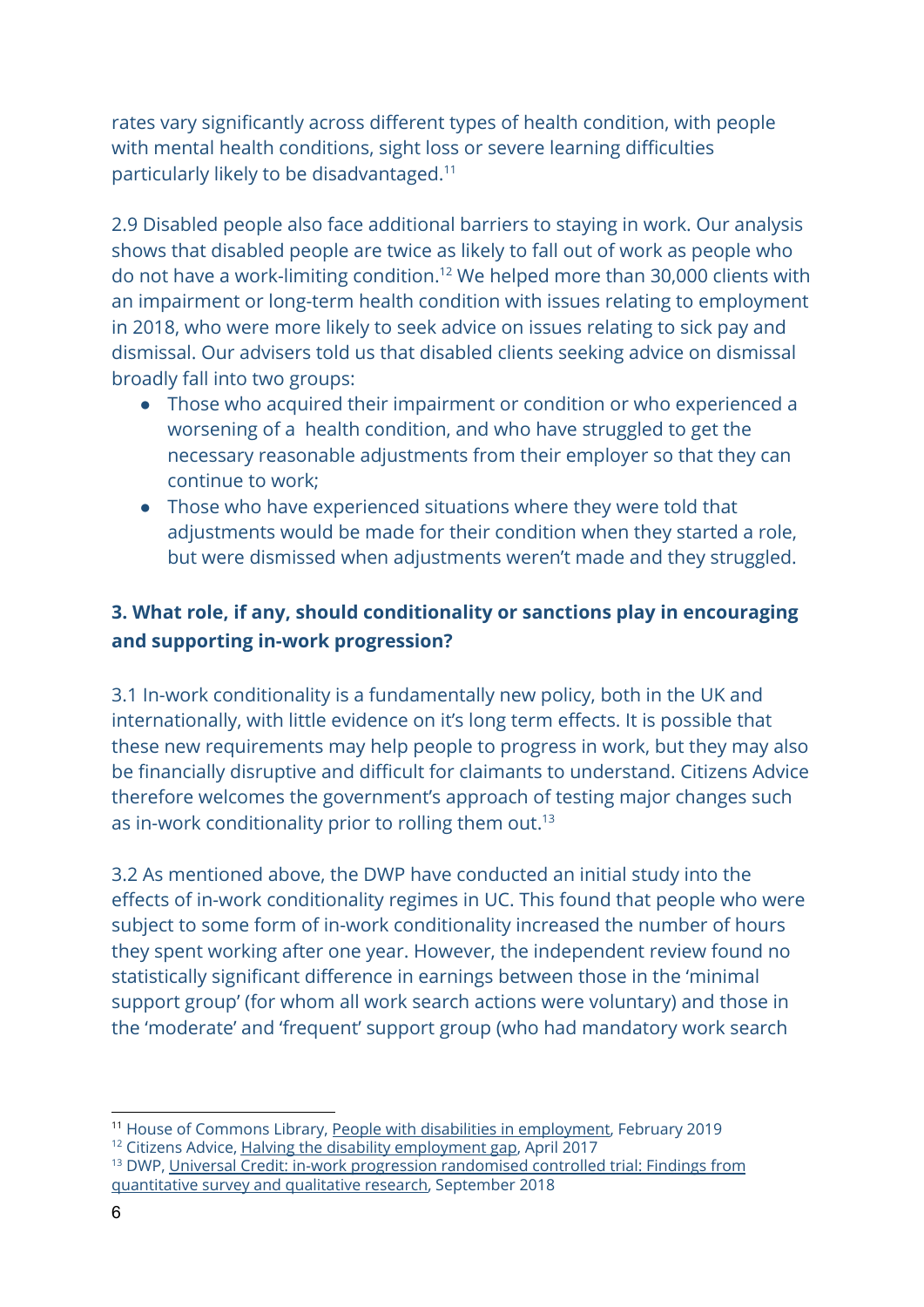rates vary significantly across different types of health condition, with people with mental health conditions, sight loss or severe learning difficulties particularly likely to be disadvantaged.<sup>11</sup>

2.9 Disabled people also face additional barriers to staying in work. Our analysis shows that disabled people are twice as likely to fall out of work as people who do not have a work-limiting condition.<sup>12</sup> We helped more than 30,000 clients with an impairment or long-term health condition with issues relating to employment in 2018, who were more likely to seek advice on issues relating to sick pay and dismissal. Our advisers told us that disabled clients seeking advice on dismissal broadly fall into two groups:

- Those who acquired their impairment or condition or who experienced a worsening of a health condition, and who have struggled to get the necessary reasonable adjustments from their employer so that they can continue to work;
- Those who have experienced situations where they were told that adjustments would be made for their condition when they started a role, but were dismissed when adjustments weren't made and they struggled.

# **3. What role, if any, should conditionality or sanctions play in encouraging and supporting in-work progression?**

3.1 In-work conditionality is a fundamentally new policy, both in the UK and internationally, with little evidence on it's long term effects. It is possible that these new requirements may help people to progress in work, but they may also be financially disruptive and difficult for claimants to understand. Citizens Advice therefore welcomes the government's approach of testing major changes such as in-work conditionality prior to rolling them out.<sup>13</sup>

3.2 As mentioned above, the DWP have conducted an initial study into the effects of in-work conditionality regimes in UC. This found that people who were subject to some form of in-work conditionality increased the number of hours they spent working after one year. However, the independent review found no statistically significant difference in earnings between those in the 'minimal support group' (for whom all work search actions were voluntary) and those in the 'moderate' and 'frequent' support group (who had mandatory work search

<sup>13</sup> [DWP,](https://assets.publishing.service.gov.uk/government/uploads/system/uploads/attachment_data/file/739775/universal-credit-in-work-progression-randomised-controlled-trial-findings-from-quantitative-survey-and-qualitative-research.pdf) Universal Credit: in-work progression [randomised](https://assets.publishing.service.gov.uk/government/uploads/system/uploads/attachment_data/file/739775/universal-credit-in-work-progression-randomised-controlled-trial-findings-from-quantitative-survey-and-qualitative-research.pdf) controlled trial: Findings from [quantitative](https://assets.publishing.service.gov.uk/government/uploads/system/uploads/attachment_data/file/739775/universal-credit-in-work-progression-randomised-controlled-trial-findings-from-quantitative-survey-and-qualitative-research.pdf) survey and qualitative research, [September](https://assets.publishing.service.gov.uk/government/uploads/system/uploads/attachment_data/file/739775/universal-credit-in-work-progression-randomised-controlled-trial-findings-from-quantitative-survey-and-qualitative-research.pdf) 2018

<sup>&</sup>lt;sup>11</sup> House of Commons Library, People with disabilities in [employment,](https://researchbriefings.parliament.uk/ResearchBriefing/Summary/CBP-7540) February 2019

<sup>&</sup>lt;sup>12</sup> Citizens Advice, Halving the disability [employment](https://www.citizensadvice.org.uk/Global/CitizensAdvice/Families%20Publications/Halvingthedisabilityemploymentgap.pdf) gap, April 2017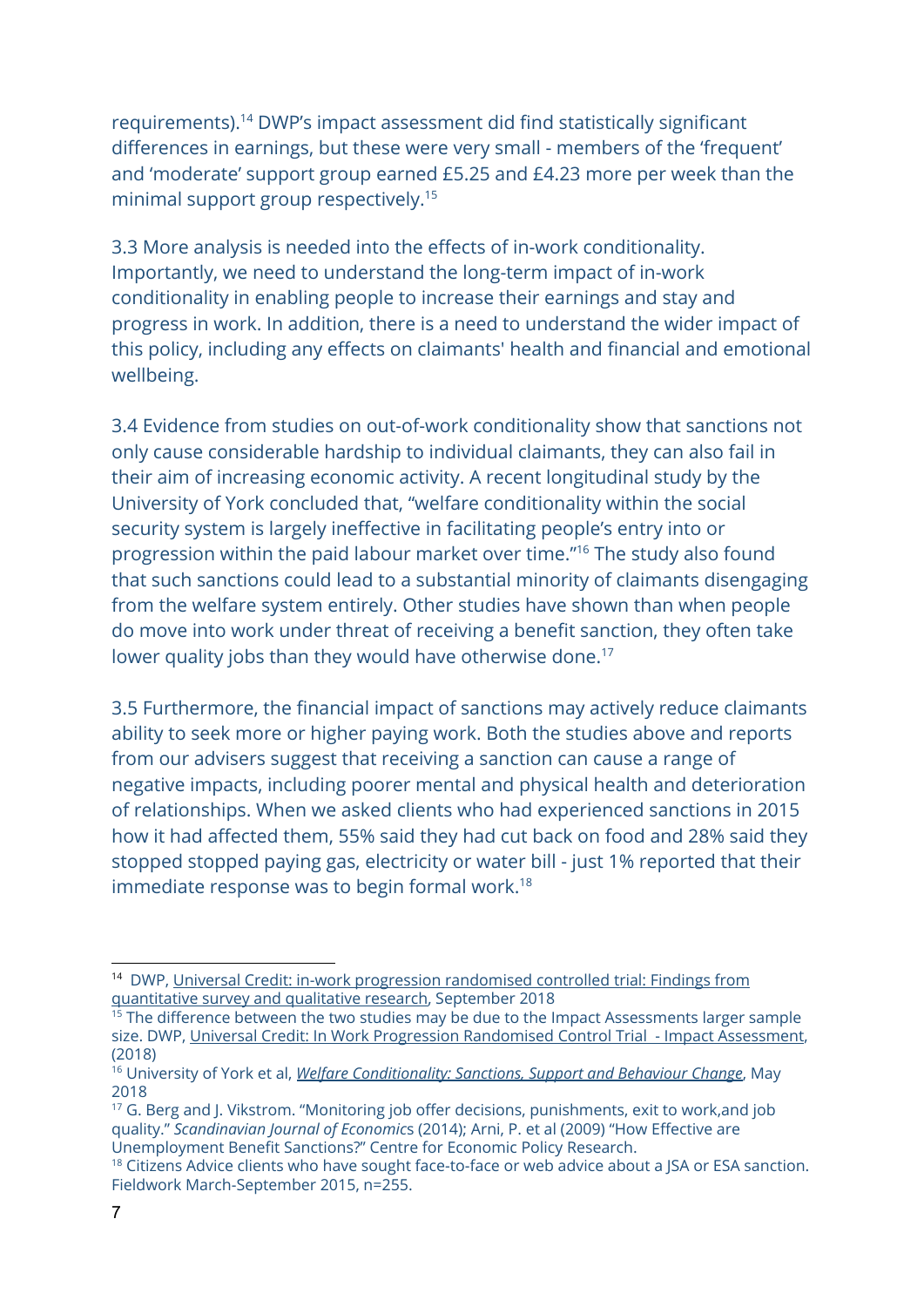requirements).<sup>14</sup> DWP's impact assessment did find statistically significant differences in earnings, but these were very small - members of the 'frequent' and 'moderate' support group earned £5.25 and £4.23 more per week than the minimal support group respectively.<sup>15</sup>

3.3 More analysis is needed into the effects of in-work conditionality. Importantly, we need to understand the long-term impact of in-work conditionality in enabling people to increase their earnings and stay and progress in work. In addition, there is a need to understand the wider impact of this policy, including any effects on claimants' health and financial and emotional wellbeing.

3.4 Evidence from studies on out-of-work conditionality show that sanctions not only cause considerable hardship to individual claimants, they can also fail in their aim of increasing economic activity. A recent longitudinal study by the University of York concluded that, "welfare conditionality within the social security system is largely ineffective in facilitating people's entry into or progression within the paid labour market over time."<sup>16</sup> The study also found that such sanctions could lead to a substantial minority of claimants disengaging from the welfare system entirely. Other studies have shown than when people do move into work under threat of receiving a benefit sanction, they often take lower quality jobs than they would have otherwise done.<sup>17</sup>

3.5 Furthermore, the financial impact of sanctions may actively reduce claimants ability to seek more or higher paying work. Both the studies above and reports from our advisers suggest that receiving a sanction can cause a range of negative impacts, including poorer mental and physical health and deterioration of relationships. When we asked clients who had experienced sanctions in 2015 how it had affected them, 55% said they had cut back on food and 28% said they stopped stopped paying gas, electricity or water bill - just 1% reported that their immediate response was to begin formal work.<sup>18</sup>

<sup>&</sup>lt;sup>14</sup> [DWP,](https://assets.publishing.service.gov.uk/government/uploads/system/uploads/attachment_data/file/739775/universal-credit-in-work-progression-randomised-controlled-trial-findings-from-quantitative-survey-and-qualitative-research.pdf) Universal Credit: in-work progression [randomised](https://assets.publishing.service.gov.uk/government/uploads/system/uploads/attachment_data/file/739775/universal-credit-in-work-progression-randomised-controlled-trial-findings-from-quantitative-survey-and-qualitative-research.pdf) controlled trial: Findings from [quantitative](https://assets.publishing.service.gov.uk/government/uploads/system/uploads/attachment_data/file/739775/universal-credit-in-work-progression-randomised-controlled-trial-findings-from-quantitative-survey-and-qualitative-research.pdf) survey and qualitative research, [September](https://assets.publishing.service.gov.uk/government/uploads/system/uploads/attachment_data/file/739775/universal-credit-in-work-progression-randomised-controlled-trial-findings-from-quantitative-survey-and-qualitative-research.pdf) 2018

 $15$  The difference between the two studies may be due to the Impact Assessments larger sample size. DWP, Universal Credit: In Work Progression [Randomised](https://assets.publishing.service.gov.uk/government/uploads/system/uploads/attachment_data/file/739767/impact-assessment-universal-credit-in-work-progression-randomised-controlled-trial.pdf) Control Trial - Impact Assessment, (2018)

<sup>16</sup> University of York et al, *Welfare [Conditionality:](http://www.welfareconditionality.ac.uk/wp-content/uploads/2018/06/40475_Welfare-Conditionality_Report_complete-v3.pdf) Sanctions, Support and Behaviour Change*, May 2018

<sup>&</sup>lt;sup>17</sup> G. Berg and J. Vikstrom. "Monitoring job offer decisions, punishments, exit to work, and job quality." *Scandinavian Journal of Economic*s (2014); Arni, P. et al (2009) "How Effective are Unemployment Benefit Sanctions?" Centre for Economic Policy Research.

<sup>&</sup>lt;sup>18</sup> Citizens Advice clients who have sought face-to-face or web advice about a JSA or ESA sanction. Fieldwork March-September 2015, n=255.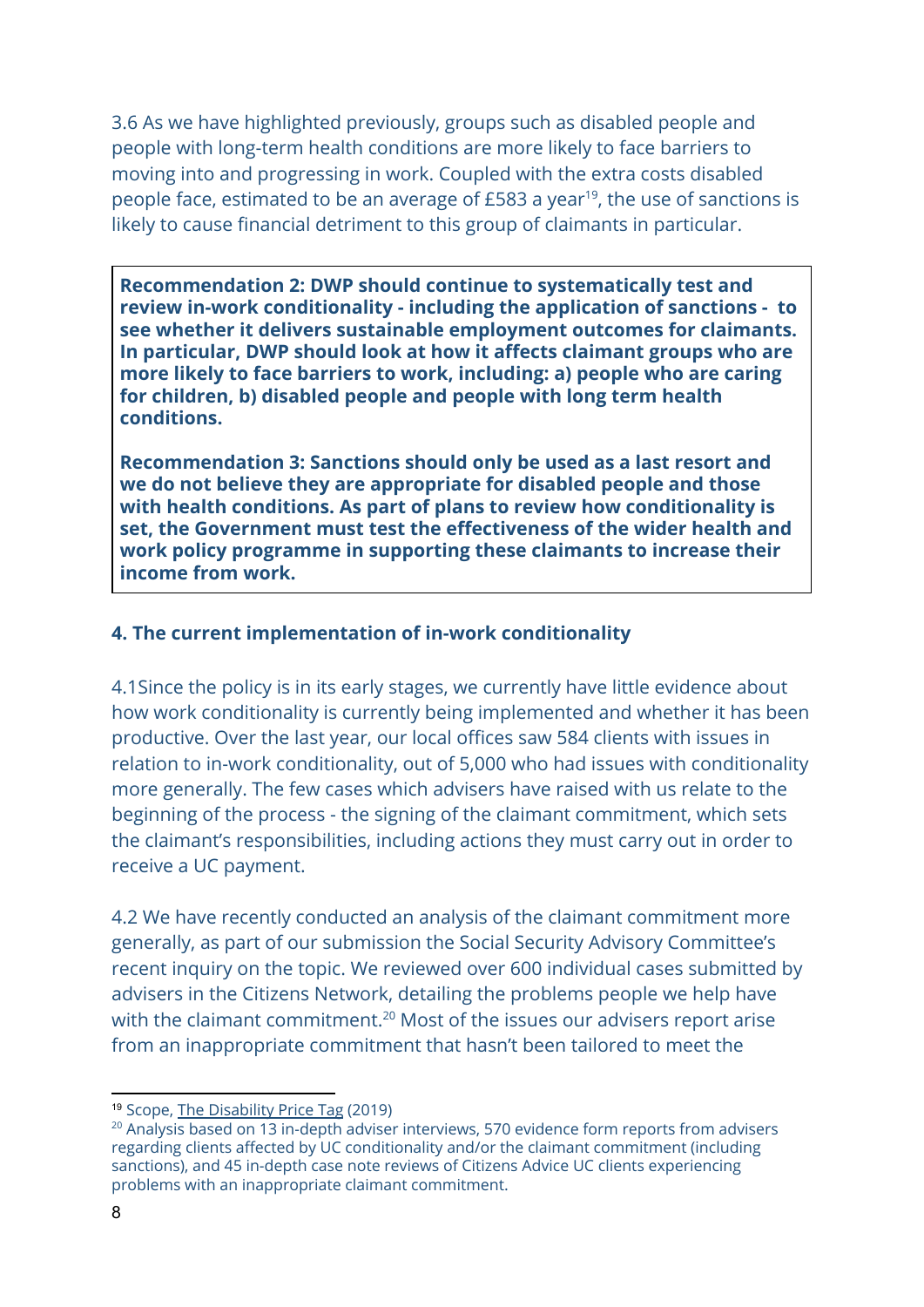3.6 As we have highlighted previously, groups such as disabled people and people with long-term health conditions are more likely to face barriers to moving into and progressing in work. Coupled with the extra costs disabled people face, estimated to be an average of  $£583$  a year<sup>19</sup>, the use of sanctions is likely to cause financial detriment to this group of claimants in particular.

**Recommendation 2: DWP should continue to systematically test and review in-work conditionality - including the application of sanctions - to see whether it delivers sustainable employment outcomes for claimants. In particular, DWP should look at how it affects claimant groups who are more likely to face barriers to work, including: a) people who are caring for children, b) disabled people and people with long term health conditions.**

**Recommendation 3: Sanctions should only be used as a last resort and we do not believe they are appropriate for disabled people and those with health conditions. As part of plans to review how conditionality is set, the Government must test the effectiveness of the wider health and work policy programme in supporting these claimants to increase their income from work.**

### **4. The current implementation of in-work conditionality**

4.1Since the policy is in its early stages, we currently have little evidence about how work conditionality is currently being implemented and whether it has been productive. Over the last year, our local offices saw 584 clients with issues in relation to in-work conditionality, out of 5,000 who had issues with conditionality more generally. The few cases which advisers have raised with us relate to the beginning of the process - the signing of the claimant commitment, which sets the claimant's responsibilities, including actions they must carry out in order to receive a UC payment.

4.2 We have recently conducted an analysis of the claimant commitment more generally, as part of our submission the Social Security Advisory Committee's recent inquiry on the topic. We reviewed over 600 individual cases submitted by advisers in the Citizens Network, detailing the problems people we help have with the claimant commitment. $20$  Most of the issues our advisers report arise from an inappropriate commitment that hasn't been tailored to meet the

<sup>19</sup> Scope, The [Disability](https://www.scope.org.uk/campaigns/extra-costs) Price Tag (2019)

 $20$  Analysis based on 13 in-depth adviser interviews, 570 evidence form reports from advisers regarding clients affected by UC conditionality and/or the claimant commitment (including sanctions), and 45 in-depth case note reviews of Citizens Advice UC clients experiencing problems with an inappropriate claimant commitment.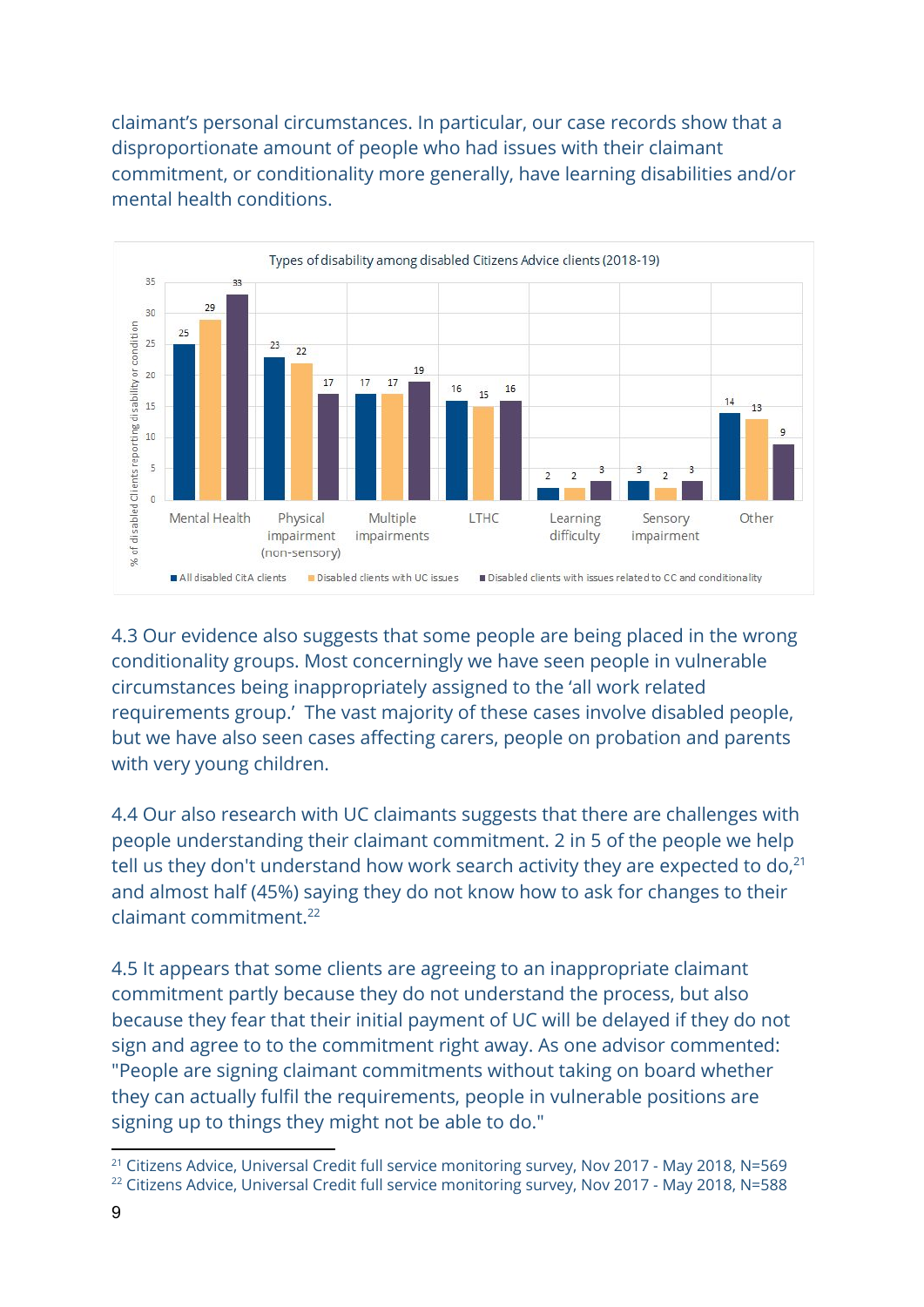claimant's personal circumstances. In particular, our case records show that a disproportionate amount of people who had issues with their claimant commitment, or conditionality more generally, have learning disabilities and/or mental health conditions.



4.3 Our evidence also suggests that some people are being placed in the wrong conditionality groups. Most concerningly we have seen people in vulnerable circumstances being inappropriately assigned to the 'all work related requirements group.' The vast majority of these cases involve disabled people, but we have also seen cases affecting carers, people on probation and parents with very young children.

4.4 Our also research with UC claimants suggests that there are challenges with people understanding their claimant commitment. 2 in 5 of the people we help tell us they don't understand how work search activity they are expected to do, $^{21}$ and almost half (45%) saying they do not know how to ask for changes to their claimant commitment.<sup>22</sup>

4.5 It appears that some clients are agreeing to an inappropriate claimant commitment partly because they do not understand the process, but also because they fear that their initial payment of UC will be delayed if they do not sign and agree to to the commitment right away. As one advisor commented: "People are signing claimant commitments without taking on board whether they can actually fulfil the requirements, people in vulnerable positions are signing up to things they might not be able to do."

<sup>&</sup>lt;sup>21</sup> Citizens Advice, Universal Credit full service monitoring survey, Nov 2017 - May 2018, N=569

<sup>&</sup>lt;sup>22</sup> Citizens Advice, Universal Credit full service monitoring survey, Nov 2017 - May 2018, N=588